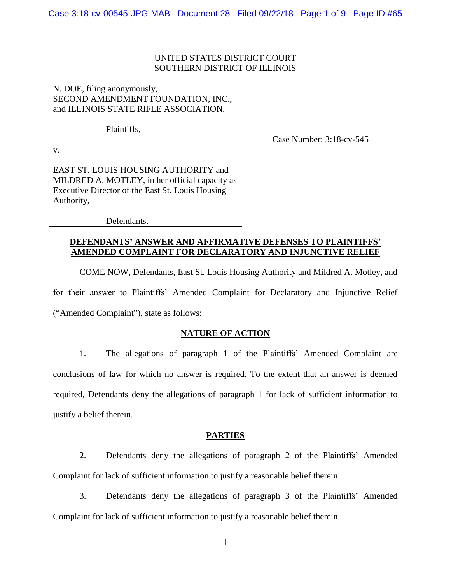## UNITED STATES DISTRICT COURT SOUTHERN DISTRICT OF ILLINOIS

## N. DOE, filing anonymously, SECOND AMENDMENT FOUNDATION, INC., and ILLINOIS STATE RIFLE ASSOCIATION,

Plaintiffs,

Case Number: 3:18-cv-545

v.

EAST ST. LOUIS HOUSING AUTHORITY and MILDRED A. MOTLEY, in her official capacity as Executive Director of the East St. Louis Housing Authority,

Defendants.

## **DEFENDANTS' ANSWER AND AFFIRMATIVE DEFENSES TO PLAINTIFFS' AMENDED COMPLAINT FOR DECLARATORY AND INJUNCTIVE RELIEF**

COME NOW, Defendants, East St. Louis Housing Authority and Mildred A. Motley, and for their answer to Plaintiffs' Amended Complaint for Declaratory and Injunctive Relief ("Amended Complaint"), state as follows:

## **NATURE OF ACTION**

1. The allegations of paragraph 1 of the Plaintiffs' Amended Complaint are conclusions of law for which no answer is required. To the extent that an answer is deemed required, Defendants deny the allegations of paragraph 1 for lack of sufficient information to justify a belief therein.

### **PARTIES**

2. Defendants deny the allegations of paragraph 2 of the Plaintiffs' Amended Complaint for lack of sufficient information to justify a reasonable belief therein.

3. Defendants deny the allegations of paragraph 3 of the Plaintiffs' Amended Complaint for lack of sufficient information to justify a reasonable belief therein.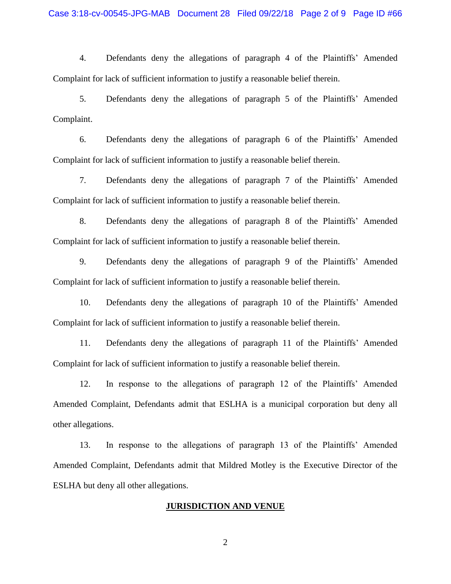4. Defendants deny the allegations of paragraph 4 of the Plaintiffs' Amended Complaint for lack of sufficient information to justify a reasonable belief therein.

5. Defendants deny the allegations of paragraph 5 of the Plaintiffs' Amended Complaint.

6. Defendants deny the allegations of paragraph 6 of the Plaintiffs' Amended Complaint for lack of sufficient information to justify a reasonable belief therein.

7. Defendants deny the allegations of paragraph 7 of the Plaintiffs' Amended Complaint for lack of sufficient information to justify a reasonable belief therein.

8. Defendants deny the allegations of paragraph 8 of the Plaintiffs' Amended Complaint for lack of sufficient information to justify a reasonable belief therein.

9. Defendants deny the allegations of paragraph 9 of the Plaintiffs' Amended Complaint for lack of sufficient information to justify a reasonable belief therein.

10. Defendants deny the allegations of paragraph 10 of the Plaintiffs' Amended Complaint for lack of sufficient information to justify a reasonable belief therein.

11. Defendants deny the allegations of paragraph 11 of the Plaintiffs' Amended Complaint for lack of sufficient information to justify a reasonable belief therein.

12. In response to the allegations of paragraph 12 of the Plaintiffs' Amended Amended Complaint, Defendants admit that ESLHA is a municipal corporation but deny all other allegations.

13. In response to the allegations of paragraph 13 of the Plaintiffs' Amended Amended Complaint, Defendants admit that Mildred Motley is the Executive Director of the ESLHA but deny all other allegations.

#### **JURISDICTION AND VENUE**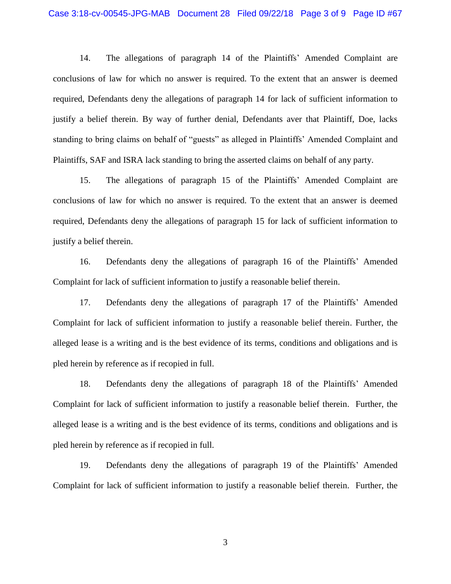14. The allegations of paragraph 14 of the Plaintiffs' Amended Complaint are conclusions of law for which no answer is required. To the extent that an answer is deemed required, Defendants deny the allegations of paragraph 14 for lack of sufficient information to justify a belief therein. By way of further denial, Defendants aver that Plaintiff, Doe, lacks standing to bring claims on behalf of "guests" as alleged in Plaintiffs' Amended Complaint and Plaintiffs, SAF and ISRA lack standing to bring the asserted claims on behalf of any party.

15. The allegations of paragraph 15 of the Plaintiffs' Amended Complaint are conclusions of law for which no answer is required. To the extent that an answer is deemed required, Defendants deny the allegations of paragraph 15 for lack of sufficient information to justify a belief therein.

16. Defendants deny the allegations of paragraph 16 of the Plaintiffs' Amended Complaint for lack of sufficient information to justify a reasonable belief therein.

17. Defendants deny the allegations of paragraph 17 of the Plaintiffs' Amended Complaint for lack of sufficient information to justify a reasonable belief therein. Further, the alleged lease is a writing and is the best evidence of its terms, conditions and obligations and is pled herein by reference as if recopied in full.

18. Defendants deny the allegations of paragraph 18 of the Plaintiffs' Amended Complaint for lack of sufficient information to justify a reasonable belief therein. Further, the alleged lease is a writing and is the best evidence of its terms, conditions and obligations and is pled herein by reference as if recopied in full.

19. Defendants deny the allegations of paragraph 19 of the Plaintiffs' Amended Complaint for lack of sufficient information to justify a reasonable belief therein. Further, the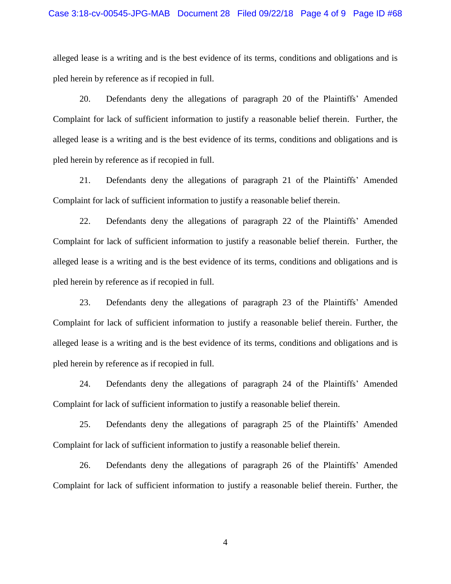alleged lease is a writing and is the best evidence of its terms, conditions and obligations and is pled herein by reference as if recopied in full.

20. Defendants deny the allegations of paragraph 20 of the Plaintiffs' Amended Complaint for lack of sufficient information to justify a reasonable belief therein. Further, the alleged lease is a writing and is the best evidence of its terms, conditions and obligations and is pled herein by reference as if recopied in full.

21. Defendants deny the allegations of paragraph 21 of the Plaintiffs' Amended Complaint for lack of sufficient information to justify a reasonable belief therein.

22. Defendants deny the allegations of paragraph 22 of the Plaintiffs' Amended Complaint for lack of sufficient information to justify a reasonable belief therein. Further, the alleged lease is a writing and is the best evidence of its terms, conditions and obligations and is pled herein by reference as if recopied in full.

23. Defendants deny the allegations of paragraph 23 of the Plaintiffs' Amended Complaint for lack of sufficient information to justify a reasonable belief therein. Further, the alleged lease is a writing and is the best evidence of its terms, conditions and obligations and is pled herein by reference as if recopied in full.

24. Defendants deny the allegations of paragraph 24 of the Plaintiffs' Amended Complaint for lack of sufficient information to justify a reasonable belief therein.

25. Defendants deny the allegations of paragraph 25 of the Plaintiffs' Amended Complaint for lack of sufficient information to justify a reasonable belief therein.

26. Defendants deny the allegations of paragraph 26 of the Plaintiffs' Amended Complaint for lack of sufficient information to justify a reasonable belief therein. Further, the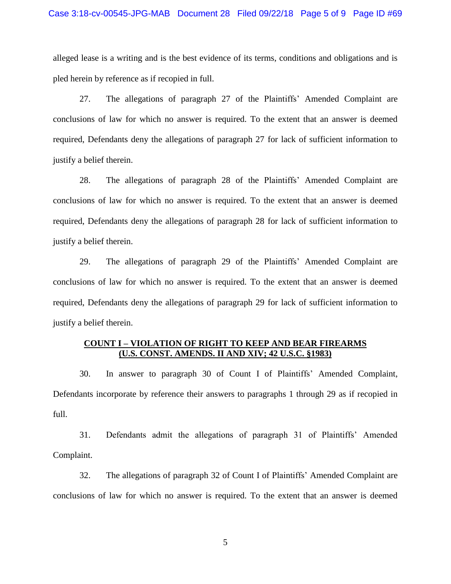alleged lease is a writing and is the best evidence of its terms, conditions and obligations and is pled herein by reference as if recopied in full.

27. The allegations of paragraph 27 of the Plaintiffs' Amended Complaint are conclusions of law for which no answer is required. To the extent that an answer is deemed required, Defendants deny the allegations of paragraph 27 for lack of sufficient information to justify a belief therein.

28. The allegations of paragraph 28 of the Plaintiffs' Amended Complaint are conclusions of law for which no answer is required. To the extent that an answer is deemed required, Defendants deny the allegations of paragraph 28 for lack of sufficient information to justify a belief therein.

29. The allegations of paragraph 29 of the Plaintiffs' Amended Complaint are conclusions of law for which no answer is required. To the extent that an answer is deemed required, Defendants deny the allegations of paragraph 29 for lack of sufficient information to justify a belief therein.

## **COUNT I – VIOLATION OF RIGHT TO KEEP AND BEAR FIREARMS (U.S. CONST. AMENDS. II AND XIV; 42 U.S.C. §1983)**

30. In answer to paragraph 30 of Count I of Plaintiffs' Amended Complaint, Defendants incorporate by reference their answers to paragraphs 1 through 29 as if recopied in full.

31. Defendants admit the allegations of paragraph 31 of Plaintiffs' Amended Complaint.

32. The allegations of paragraph 32 of Count I of Plaintiffs' Amended Complaint are conclusions of law for which no answer is required. To the extent that an answer is deemed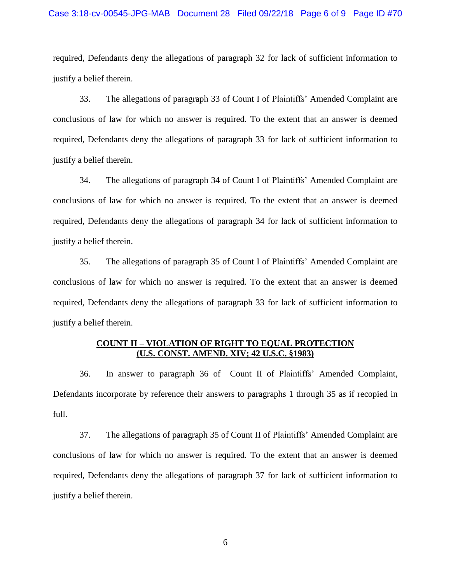#### Case 3:18-cv-00545-JPG-MAB Document 28 Filed 09/22/18 Page 6 of 9 Page ID #70

required, Defendants deny the allegations of paragraph 32 for lack of sufficient information to justify a belief therein.

33. The allegations of paragraph 33 of Count I of Plaintiffs' Amended Complaint are conclusions of law for which no answer is required. To the extent that an answer is deemed required, Defendants deny the allegations of paragraph 33 for lack of sufficient information to justify a belief therein.

34. The allegations of paragraph 34 of Count I of Plaintiffs' Amended Complaint are conclusions of law for which no answer is required. To the extent that an answer is deemed required, Defendants deny the allegations of paragraph 34 for lack of sufficient information to justify a belief therein.

35. The allegations of paragraph 35 of Count I of Plaintiffs' Amended Complaint are conclusions of law for which no answer is required. To the extent that an answer is deemed required, Defendants deny the allegations of paragraph 33 for lack of sufficient information to justify a belief therein.

## **COUNT II – VIOLATION OF RIGHT TO EQUAL PROTECTION (U.S. CONST. AMEND. XIV; 42 U.S.C. §1983)**

36. In answer to paragraph 36 of Count II of Plaintiffs' Amended Complaint, Defendants incorporate by reference their answers to paragraphs 1 through 35 as if recopied in full.

37. The allegations of paragraph 35 of Count II of Plaintiffs' Amended Complaint are conclusions of law for which no answer is required. To the extent that an answer is deemed required, Defendants deny the allegations of paragraph 37 for lack of sufficient information to justify a belief therein.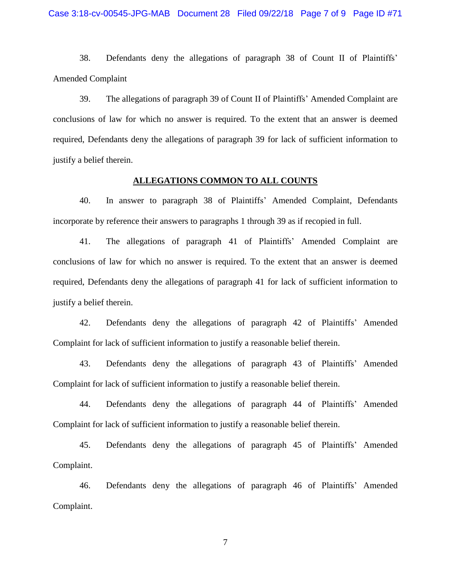38. Defendants deny the allegations of paragraph 38 of Count II of Plaintiffs' Amended Complaint

39. The allegations of paragraph 39 of Count II of Plaintiffs' Amended Complaint are conclusions of law for which no answer is required. To the extent that an answer is deemed required, Defendants deny the allegations of paragraph 39 for lack of sufficient information to justify a belief therein.

#### **ALLEGATIONS COMMON TO ALL COUNTS**

40. In answer to paragraph 38 of Plaintiffs' Amended Complaint, Defendants incorporate by reference their answers to paragraphs 1 through 39 as if recopied in full.

41. The allegations of paragraph 41 of Plaintiffs' Amended Complaint are conclusions of law for which no answer is required. To the extent that an answer is deemed required, Defendants deny the allegations of paragraph 41 for lack of sufficient information to justify a belief therein.

42. Defendants deny the allegations of paragraph 42 of Plaintiffs' Amended Complaint for lack of sufficient information to justify a reasonable belief therein.

43. Defendants deny the allegations of paragraph 43 of Plaintiffs' Amended Complaint for lack of sufficient information to justify a reasonable belief therein.

44. Defendants deny the allegations of paragraph 44 of Plaintiffs' Amended Complaint for lack of sufficient information to justify a reasonable belief therein.

45. Defendants deny the allegations of paragraph 45 of Plaintiffs' Amended Complaint.

46. Defendants deny the allegations of paragraph 46 of Plaintiffs' Amended Complaint.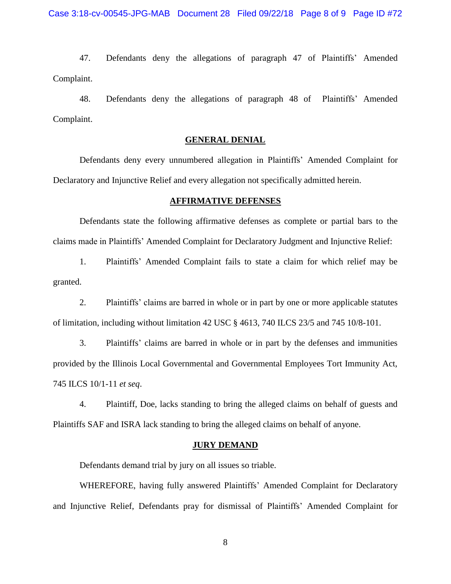47. Defendants deny the allegations of paragraph 47 of Plaintiffs' Amended Complaint.

48. Defendants deny the allegations of paragraph 48 of Plaintiffs' Amended Complaint.

### **GENERAL DENIAL**

Defendants deny every unnumbered allegation in Plaintiffs' Amended Complaint for Declaratory and Injunctive Relief and every allegation not specifically admitted herein.

#### **AFFIRMATIVE DEFENSES**

Defendants state the following affirmative defenses as complete or partial bars to the claims made in Plaintiffs' Amended Complaint for Declaratory Judgment and Injunctive Relief:

1. Plaintiffs' Amended Complaint fails to state a claim for which relief may be granted.

2. Plaintiffs' claims are barred in whole or in part by one or more applicable statutes of limitation, including without limitation 42 USC  $\S$  4613, 740 ILCS 23/5 and 745 10/8-101.

3. Plaintiffs' claims are barred in whole or in part by the defenses and immunities provided by the Illinois Local Governmental and Governmental Employees Tort Immunity Act, 745 ILCS 10/1-11 *et seq*.

4. Plaintiff, Doe, lacks standing to bring the alleged claims on behalf of guests and Plaintiffs SAF and ISRA lack standing to bring the alleged claims on behalf of anyone.

#### **JURY DEMAND**

Defendants demand trial by jury on all issues so triable.

WHEREFORE, having fully answered Plaintiffs' Amended Complaint for Declaratory and Injunctive Relief, Defendants pray for dismissal of Plaintiffs' Amended Complaint for